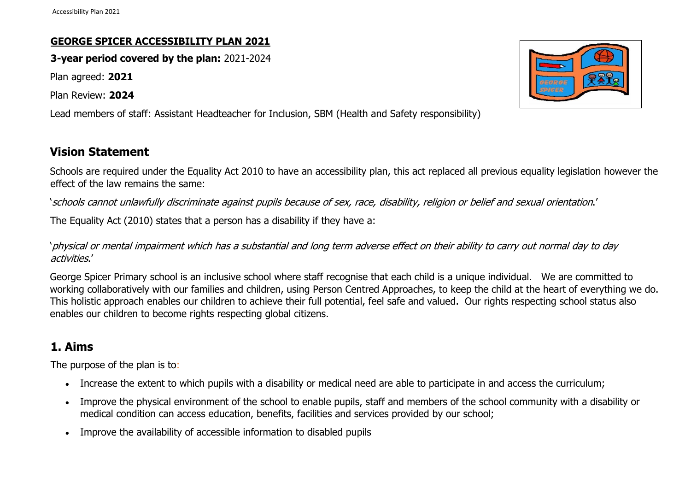## **GEORGE SPICER ACCESSIBILITY PLAN 2021**

**3-year period covered by the plan:** 2021-2024

Plan agreed: **2021**

Plan Review: **2024**

Lead members of staff: Assistant Headteacher for Inclusion, SBM (Health and Safety responsibility)

## **Vision Statement**

Schools are required under the Equality Act 2010 to have an accessibility plan, this act replaced all previous equality legislation however the effect of the law remains the same:

'schools cannot unlawfully discriminate against pupils because of sex, race, disability, religion or belief and sexual orientation.'

The Equality Act (2010) states that a person has a disability if they have a:

'physical or mental impairment which has a substantial and long term adverse effect on their ability to carry out normal day to day activities.'

George Spicer Primary school is an inclusive school where staff recognise that each child is a unique individual. We are committed to working collaboratively with our families and children, using Person Centred Approaches, to keep the child at the heart of everything we do. This holistic approach enables our children to achieve their full potential, feel safe and valued. Our rights respecting school status also enables our children to become rights respecting global citizens.

# **1. Aims**

The purpose of the plan is to:

- Increase the extent to which pupils with a disability or medical need are able to participate in and access the curriculum;
- Improve the physical environment of the school to enable pupils, staff and members of the school community with a disability or medical condition can access education, benefits, facilities and services provided by our school;
- Improve the availability of accessible information to disabled pupils

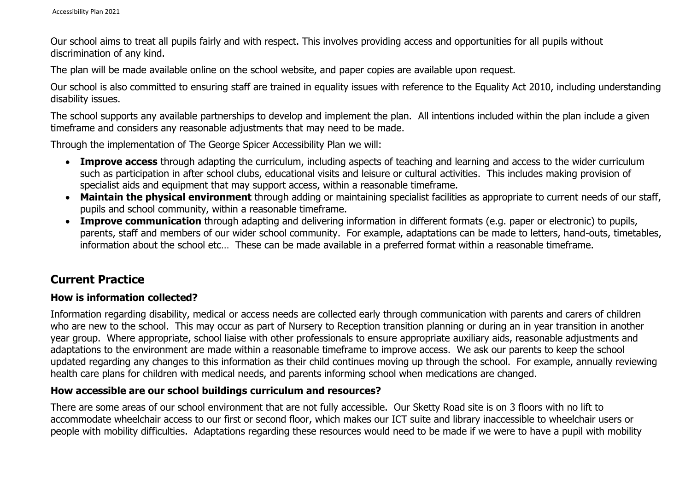Our school aims to treat all pupils fairly and with respect. This involves providing access and opportunities for all pupils without discrimination of any kind.

The plan will be made available online on the school website, and paper copies are available upon request.

Our school is also committed to ensuring staff are trained in equality issues with reference to the Equality Act 2010, including understanding disability issues.

The school supports any available partnerships to develop and implement the plan. All intentions included within the plan include a given timeframe and considers any reasonable adjustments that may need to be made.

Through the implementation of The George Spicer Accessibility Plan we will:

- **Improve access** through adapting the curriculum, including aspects of teaching and learning and access to the wider curriculum such as participation in after school clubs, educational visits and leisure or cultural activities. This includes making provision of specialist aids and equipment that may support access, within a reasonable timeframe.
- **Maintain the physical environment** through adding or maintaining specialist facilities as appropriate to current needs of our staff, pupils and school community, within a reasonable timeframe.
- **Improve communication** through adapting and delivering information in different formats (e.g. paper or electronic) to pupils, parents, staff and members of our wider school community. For example, adaptations can be made to letters, hand-outs, timetables, information about the school etc… These can be made available in a preferred format within a reasonable timeframe.

## **Current Practice**

## **How is information collected?**

Information regarding disability, medical or access needs are collected early through communication with parents and carers of children who are new to the school. This may occur as part of Nursery to Reception transition planning or during an in year transition in another year group. Where appropriate, school liaise with other professionals to ensure appropriate auxiliary aids, reasonable adjustments and adaptations to the environment are made within a reasonable timeframe to improve access. We ask our parents to keep the school updated regarding any changes to this information as their child continues moving up through the school. For example, annually reviewing health care plans for children with medical needs, and parents informing school when medications are changed.

#### **How accessible are our school buildings curriculum and resources?**

There are some areas of our school environment that are not fully accessible. Our Sketty Road site is on 3 floors with no lift to accommodate wheelchair access to our first or second floor, which makes our ICT suite and library inaccessible to wheelchair users or people with mobility difficulties. Adaptations regarding these resources would need to be made if we were to have a pupil with mobility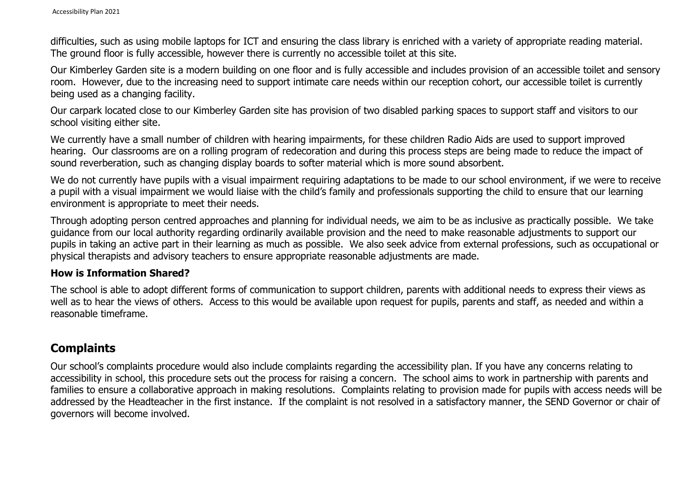difficulties, such as using mobile laptops for ICT and ensuring the class library is enriched with a variety of appropriate reading material. The ground floor is fully accessible, however there is currently no accessible toilet at this site.

Our Kimberley Garden site is a modern building on one floor and is fully accessible and includes provision of an accessible toilet and sensory room. However, due to the increasing need to support intimate care needs within our reception cohort, our accessible toilet is currently being used as a changing facility.

Our carpark located close to our Kimberley Garden site has provision of two disabled parking spaces to support staff and visitors to our school visiting either site.

We currently have a small number of children with hearing impairments, for these children Radio Aids are used to support improved hearing. Our classrooms are on a rolling program of redecoration and during this process steps are being made to reduce the impact of sound reverberation, such as changing display boards to softer material which is more sound absorbent.

We do not currently have pupils with a visual impairment requiring adaptations to be made to our school environment, if we were to receive a pupil with a visual impairment we would liaise with the child's family and professionals supporting the child to ensure that our learning environment is appropriate to meet their needs.

Through adopting person centred approaches and planning for individual needs, we aim to be as inclusive as practically possible. We take guidance from our local authority regarding ordinarily available provision and the need to make reasonable adjustments to support our pupils in taking an active part in their learning as much as possible. We also seek advice from external professions, such as occupational or physical therapists and advisory teachers to ensure appropriate reasonable adjustments are made.

#### **How is Information Shared?**

The school is able to adopt different forms of communication to support children, parents with additional needs to express their views as well as to hear the views of others. Access to this would be available upon request for pupils, parents and staff, as needed and within a reasonable timeframe.

## **Complaints**

Our school's complaints procedure would also include complaints regarding the accessibility plan. If you have any concerns relating to accessibility in school, this procedure sets out the process for raising a concern. The school aims to work in partnership with parents and families to ensure a collaborative approach in making resolutions. Complaints relating to provision made for pupils with access needs will be addressed by the Headteacher in the first instance. If the complaint is not resolved in a satisfactory manner, the SEND Governor or chair of governors will become involved.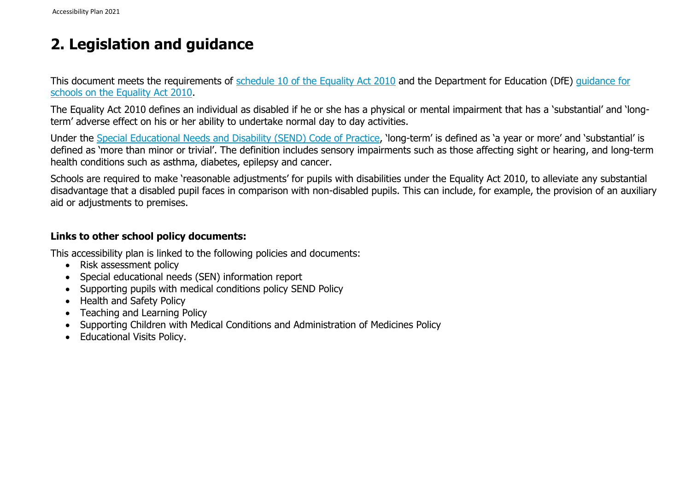# **2. Legislation and guidance**

This document meets the requirements of [schedule 10 of the Equality Act 2010](http://www.legislation.gov.uk/ukpga/2010/15/schedule/10) and the Department for Education (DfE) [guidance for](https://www.gov.uk/government/publications/equality-act-2010-advice-for-schools)  [schools on the Equality Act 2010.](https://www.gov.uk/government/publications/equality-act-2010-advice-for-schools)

The Equality Act 2010 defines an individual as disabled if he or she has a physical or mental impairment that has a 'substantial' and 'longterm' adverse effect on his or her ability to undertake normal day to day activities.

Under the [Special Educational Needs and Disability \(SEND\) Code of Practice](https://www.gov.uk/government/publications/send-code-of-practice-0-to-25), 'long-term' is defined as 'a year or more' and 'substantial' is defined as 'more than minor or trivial'. The definition includes sensory impairments such as those affecting sight or hearing, and long-term health conditions such as asthma, diabetes, epilepsy and cancer.

Schools are required to make 'reasonable adjustments' for pupils with disabilities under the Equality Act 2010, to alleviate any substantial disadvantage that a disabled pupil faces in comparison with non-disabled pupils. This can include, for example, the provision of an auxiliary aid or adjustments to premises.

## **Links to other school policy documents:**

This accessibility plan is linked to the following policies and documents:

- Risk assessment policy
- Special educational needs (SEN) information report
- Supporting pupils with medical conditions policy SEND Policy
- Health and Safety Policy
- Teaching and Learning Policy
- Supporting Children with Medical Conditions and Administration of Medicines Policy
- Educational Visits Policy.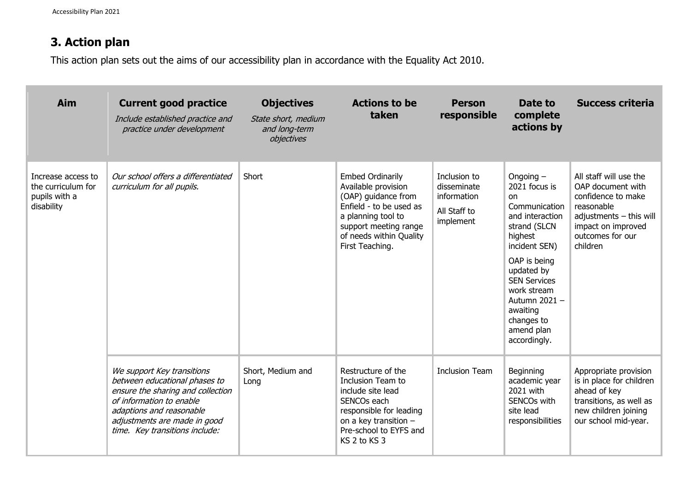# **3. Action plan**

This action plan sets out the aims of our accessibility plan in accordance with the Equality Act 2010.

| Aim                                                                     | <b>Current good practice</b><br>Include established practice and<br>practice under development                                                                                                                             | <b>Objectives</b><br>State short, medium<br>and long-term<br>objectives | <b>Actions to be</b><br>taken                                                                                                                                                                 | <b>Person</b><br>responsible                                            | Date to<br>complete<br>actions by                                                                                                                                                                                                                               | <b>Success criteria</b>                                                                                                                                            |
|-------------------------------------------------------------------------|----------------------------------------------------------------------------------------------------------------------------------------------------------------------------------------------------------------------------|-------------------------------------------------------------------------|-----------------------------------------------------------------------------------------------------------------------------------------------------------------------------------------------|-------------------------------------------------------------------------|-----------------------------------------------------------------------------------------------------------------------------------------------------------------------------------------------------------------------------------------------------------------|--------------------------------------------------------------------------------------------------------------------------------------------------------------------|
| Increase access to<br>the curriculum for<br>pupils with a<br>disability | Our school offers a differentiated<br>curriculum for all pupils.                                                                                                                                                           | Short                                                                   | <b>Embed Ordinarily</b><br>Available provision<br>(OAP) guidance from<br>Enfield - to be used as<br>a planning tool to<br>support meeting range<br>of needs within Quality<br>First Teaching. | Inclusion to<br>disseminate<br>information<br>All Staff to<br>implement | Ongoing $-$<br>2021 focus is<br>on<br>Communication<br>and interaction<br>strand (SLCN<br>highest<br>incident SEN)<br>OAP is being<br>updated by<br><b>SEN Services</b><br>work stream<br>Autumn 2021 -<br>awaiting<br>changes to<br>amend plan<br>accordingly. | All staff will use the<br>OAP document with<br>confidence to make<br>reasonable<br>$adjustments - this will$<br>impact on improved<br>outcomes for our<br>children |
|                                                                         | We support Key transitions<br>between educational phases to<br>ensure the sharing and collection<br>of information to enable<br>adaptions and reasonable<br>adjustments are made in good<br>time. Key transitions include: | Short, Medium and<br>Long                                               | Restructure of the<br>Inclusion Team to<br>include site lead<br>SENCOs each<br>responsible for leading<br>on a key transition -<br>Pre-school to EYFS and<br>KS 2 to KS 3                     | <b>Inclusion Team</b>                                                   | Beginning<br>academic year<br>2021 with<br>SENCOs with<br>site lead<br>responsibilities                                                                                                                                                                         | Appropriate provision<br>is in place for children<br>ahead of key<br>transitions, as well as<br>new children joining<br>our school mid-year.                       |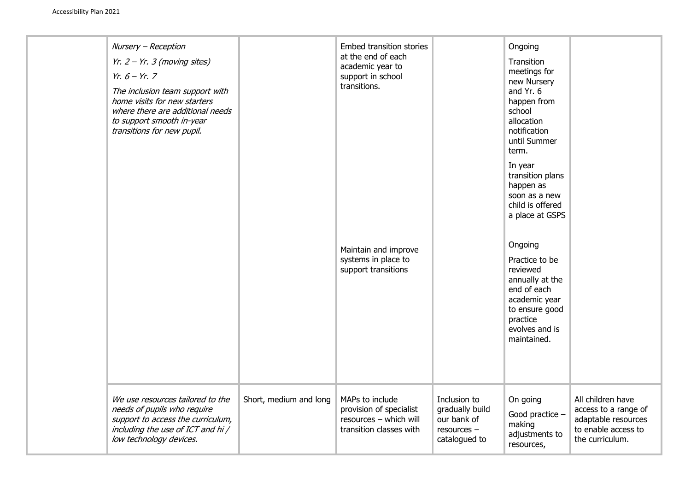| Nursery - Reception<br>Yr. $2 - Yr$ . 3 (moving sites)<br>$Yr. 6 - Yr. 7$<br>The inclusion team support with<br>home visits for new starters<br>where there are additional needs<br>to support smooth in-year<br>transitions for new pupil. |                        | <b>Embed transition stories</b><br>at the end of each<br>academic year to<br>support in school<br>transitions.<br>Maintain and improve<br>systems in place to<br>support transitions |                                                                                | Ongoing<br>Transition<br>meetings for<br>new Nursery<br>and Yr. 6<br>happen from<br>school<br>allocation<br>notification<br>until Summer<br>term.<br>In year<br>transition plans<br>happen as<br>soon as a new<br>child is offered<br>a place at GSPS<br>Ongoing<br>Practice to be<br>reviewed<br>annually at the<br>end of each<br>academic year<br>to ensure good<br>practice<br>evolves and is<br>maintained. |                                                                                                            |
|---------------------------------------------------------------------------------------------------------------------------------------------------------------------------------------------------------------------------------------------|------------------------|--------------------------------------------------------------------------------------------------------------------------------------------------------------------------------------|--------------------------------------------------------------------------------|------------------------------------------------------------------------------------------------------------------------------------------------------------------------------------------------------------------------------------------------------------------------------------------------------------------------------------------------------------------------------------------------------------------|------------------------------------------------------------------------------------------------------------|
| We use resources tailored to the<br>needs of pupils who require<br>support to access the curriculum,<br>including the use of ICT and hi/<br>low technology devices.                                                                         | Short, medium and long | MAPs to include<br>provision of specialist<br>resources - which will<br>transition classes with                                                                                      | Inclusion to<br>gradually build<br>our bank of<br>resources -<br>catalogued to | On going<br>Good practice -<br>making<br>adjustments to<br>resources,                                                                                                                                                                                                                                                                                                                                            | All children have<br>access to a range of<br>adaptable resources<br>to enable access to<br>the curriculum. |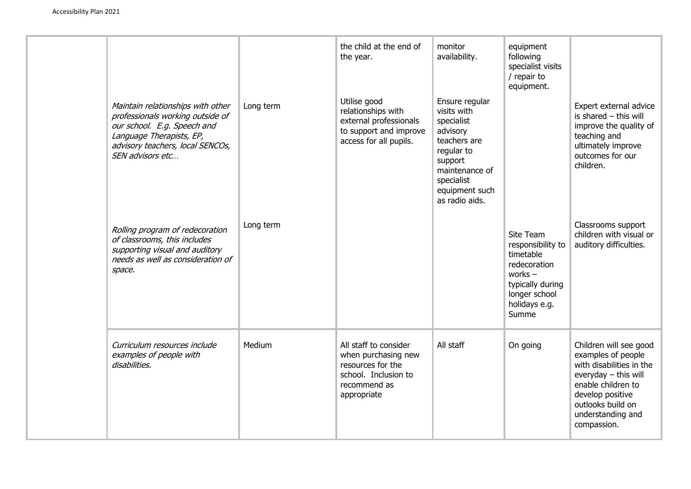|                                                                                                                                                                                          |           | the child at the end of<br>the year.                                                                                     | monitor<br>availability.                                                                                                                                             | equipment<br>following<br>specialist visits<br>/ repair to<br>equipment.                                                                |                                                                                                                                                                                                       |
|------------------------------------------------------------------------------------------------------------------------------------------------------------------------------------------|-----------|--------------------------------------------------------------------------------------------------------------------------|----------------------------------------------------------------------------------------------------------------------------------------------------------------------|-----------------------------------------------------------------------------------------------------------------------------------------|-------------------------------------------------------------------------------------------------------------------------------------------------------------------------------------------------------|
| Maintain relationships with other<br>professionals working outside of<br>our school. E.g. Speech and<br>Language Therapists, EP,<br>advisory teachers, local SENCOs,<br>SEN advisors etc | Long term | Utilise good<br>relationships with<br>external professionals<br>to support and improve<br>access for all pupils.         | Ensure regular<br>visits with<br>specialist<br>advisory<br>teachers are<br>regular to<br>support<br>maintenance of<br>specialist<br>equipment such<br>as radio aids. |                                                                                                                                         | Expert external advice<br>is shared $-$ this will<br>improve the quality of<br>teaching and<br>ultimately improve<br>outcomes for our<br>children.                                                    |
| Rolling program of redecoration<br>of classrooms, this includes<br>supporting visual and auditory<br>needs as well as consideration of<br>space.                                         | Long term |                                                                                                                          |                                                                                                                                                                      | Site Team<br>responsibility to<br>timetable<br>redecoration<br>works $-$<br>typically during<br>longer school<br>holidays e.g.<br>Summe | Classrooms support<br>children with visual or<br>auditory difficulties.                                                                                                                               |
| Curriculum resources include<br>examples of people with<br>disabilities.                                                                                                                 | Medium    | All staff to consider<br>when purchasing new<br>resources for the<br>school. Inclusion to<br>recommend as<br>appropriate | All staff                                                                                                                                                            | On going                                                                                                                                | Children will see good<br>examples of people<br>with disabilities in the<br>everyday $-$ this will<br>enable children to<br>develop positive<br>outlooks build on<br>understanding and<br>compassion. |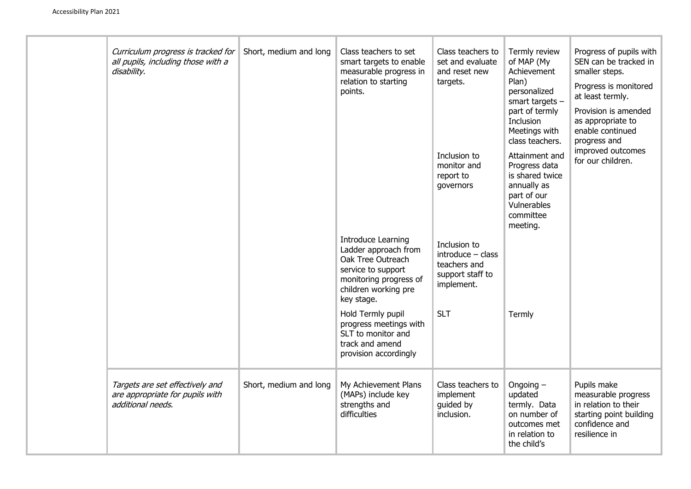| Curriculum progress is tracked for<br>all pupils, including those with a<br>disability. | Short, medium and long | Class teachers to set<br>smart targets to enable<br>measurable progress in<br>relation to starting<br>points.<br><b>Introduce Learning</b><br>Ladder approach from<br>Oak Tree Outreach<br>service to support<br>monitoring progress of<br>children working pre<br>key stage.<br>Hold Termly pupil<br>progress meetings with<br>SLT to monitor and<br>track and amend<br>provision accordingly | Class teachers to<br>set and evaluate<br>and reset new<br>targets.<br>Inclusion to<br>monitor and<br>report to<br>governors<br>Inclusion to<br>$introduce - class$<br>teachers and<br>support staff to<br>implement.<br><b>SLT</b> | Termly review<br>of MAP (My<br>Achievement<br>Plan)<br>personalized<br>smart targets $-$<br>part of termly<br>Inclusion<br>Meetings with<br>class teachers.<br>Attainment and<br>Progress data<br>is shared twice<br>annually as<br>part of our<br>Vulnerables<br>committee<br>meeting.<br>Termly | Progress of pupils with<br>SEN can be tracked in<br>smaller steps.<br>Progress is monitored<br>at least termly.<br>Provision is amended<br>as appropriate to<br>enable continued<br>progress and<br>improved outcomes<br>for our children. |
|-----------------------------------------------------------------------------------------|------------------------|------------------------------------------------------------------------------------------------------------------------------------------------------------------------------------------------------------------------------------------------------------------------------------------------------------------------------------------------------------------------------------------------|------------------------------------------------------------------------------------------------------------------------------------------------------------------------------------------------------------------------------------|---------------------------------------------------------------------------------------------------------------------------------------------------------------------------------------------------------------------------------------------------------------------------------------------------|--------------------------------------------------------------------------------------------------------------------------------------------------------------------------------------------------------------------------------------------|
| Targets are set effectively and<br>are appropriate for pupils with<br>additional needs. | Short, medium and long | My Achievement Plans<br>(MAPs) include key<br>strengths and<br>difficulties                                                                                                                                                                                                                                                                                                                    | Class teachers to<br>implement<br>guided by<br>inclusion.                                                                                                                                                                          | Ongoing $-$<br>updated<br>termly. Data<br>on number of<br>outcomes met<br>in relation to<br>the child's                                                                                                                                                                                           | Pupils make<br>measurable progress<br>in relation to their<br>starting point building<br>confidence and<br>resilience in                                                                                                                   |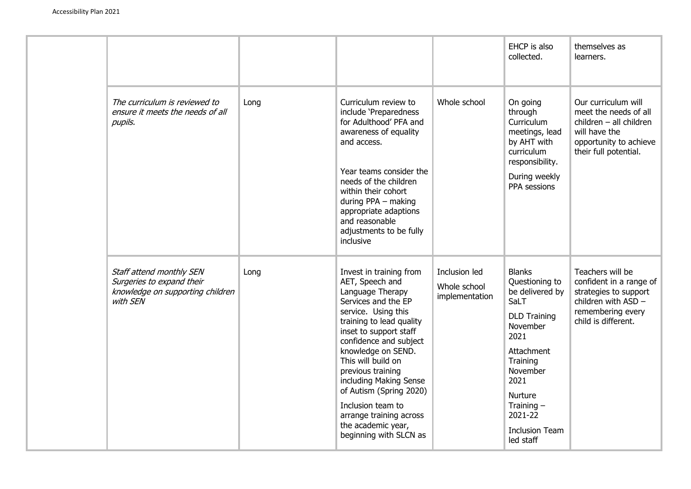|  |                                                                                                       |      |                                                                                                                                                                                                                                                                                                                                                                                                                    |                                                 | EHCP is also<br>collected.                                                                                                                                                                                                      | themselves as<br>learners.                                                                                                                    |
|--|-------------------------------------------------------------------------------------------------------|------|--------------------------------------------------------------------------------------------------------------------------------------------------------------------------------------------------------------------------------------------------------------------------------------------------------------------------------------------------------------------------------------------------------------------|-------------------------------------------------|---------------------------------------------------------------------------------------------------------------------------------------------------------------------------------------------------------------------------------|-----------------------------------------------------------------------------------------------------------------------------------------------|
|  | The curriculum is reviewed to<br>ensure it meets the needs of all<br>pupils.                          | Long | Curriculum review to<br>include 'Preparedness<br>for Adulthood' PFA and<br>awareness of equality<br>and access.<br>Year teams consider the<br>needs of the children<br>within their cohort<br>during PPA - making<br>appropriate adaptions<br>and reasonable<br>adjustments to be fully<br>inclusive                                                                                                               | Whole school                                    | On going<br>through<br>Curriculum<br>meetings, lead<br>by AHT with<br>curriculum<br>responsibility.<br>During weekly<br>PPA sessions                                                                                            | Our curriculum will<br>meet the needs of all<br>$children - all children$<br>will have the<br>opportunity to achieve<br>their full potential. |
|  | Staff attend monthly SEN<br>Surgeries to expand their<br>knowledge on supporting children<br>with SEN | Long | Invest in training from<br>AET, Speech and<br>Language Therapy<br>Services and the EP<br>service. Using this<br>training to lead quality<br>inset to support staff<br>confidence and subject<br>knowledge on SEND.<br>This will build on<br>previous training<br>including Making Sense<br>of Autism (Spring 2020)<br>Inclusion team to<br>arrange training across<br>the academic year,<br>beginning with SLCN as | Inclusion led<br>Whole school<br>implementation | <b>Blanks</b><br>Questioning to<br>be delivered by<br>SaLT<br><b>DLD Training</b><br>November<br>2021<br>Attachment<br>Training<br>November<br>2021<br>Nurture<br>Training $-$<br>2021-22<br><b>Inclusion Team</b><br>led staff | Teachers will be<br>confident in a range of<br>strategies to support<br>children with ASD -<br>remembering every<br>child is different.       |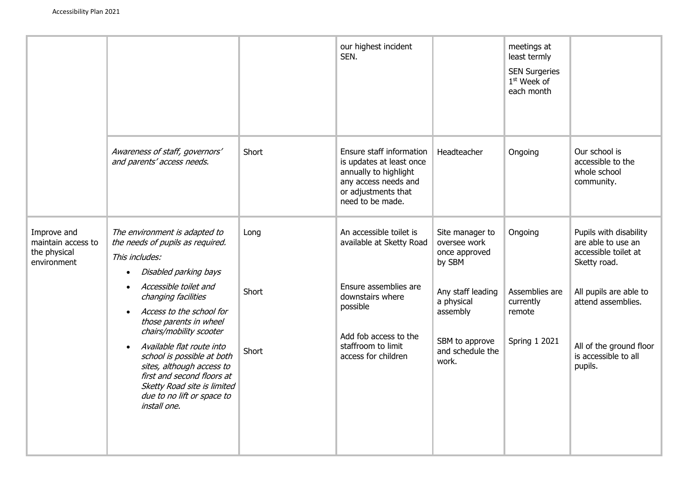|                                                                  |                                                                                                                                                                                                                                                                                                                                                                                                                                                  |                        | our highest incident<br>SEN.                                                                                                                                                       |                                                                                                                                                          | meetings at<br>least termly<br><b>SEN Surgeries</b><br>1 <sup>st</sup> Week of<br>each month |                                                                                                                                                                                                    |
|------------------------------------------------------------------|--------------------------------------------------------------------------------------------------------------------------------------------------------------------------------------------------------------------------------------------------------------------------------------------------------------------------------------------------------------------------------------------------------------------------------------------------|------------------------|------------------------------------------------------------------------------------------------------------------------------------------------------------------------------------|----------------------------------------------------------------------------------------------------------------------------------------------------------|----------------------------------------------------------------------------------------------|----------------------------------------------------------------------------------------------------------------------------------------------------------------------------------------------------|
|                                                                  | Awareness of staff, governors'<br>and parents' access needs.                                                                                                                                                                                                                                                                                                                                                                                     | Short                  | Ensure staff information<br>is updates at least once<br>annually to highlight<br>any access needs and<br>or adjustments that<br>need to be made.                                   | Headteacher                                                                                                                                              | Ongoing                                                                                      | Our school is<br>accessible to the<br>whole school<br>community.                                                                                                                                   |
| Improve and<br>maintain access to<br>the physical<br>environment | The environment is adapted to<br>the needs of pupils as required.<br>This includes:<br>Disabled parking bays<br>Accessible toilet and<br>changing facilities<br>Access to the school for<br>those parents in wheel<br>chairs/mobility scooter<br>Available flat route into<br>school is possible at both<br>sites, although access to<br>first and second floors at<br>Sketty Road site is limited<br>due to no lift or space to<br>install one. | Long<br>Short<br>Short | An accessible toilet is<br>available at Sketty Road<br>Ensure assemblies are<br>downstairs where<br>possible<br>Add fob access to the<br>staffroom to limit<br>access for children | Site manager to<br>oversee work<br>once approved<br>by SBM<br>Any staff leading<br>a physical<br>assembly<br>SBM to approve<br>and schedule the<br>work. | Ongoing<br>Assemblies are<br>currently<br>remote<br><b>Spring 1 2021</b>                     | Pupils with disability<br>are able to use an<br>accessible toilet at<br>Sketty road.<br>All pupils are able to<br>attend assemblies.<br>All of the ground floor<br>is accessible to all<br>pupils. |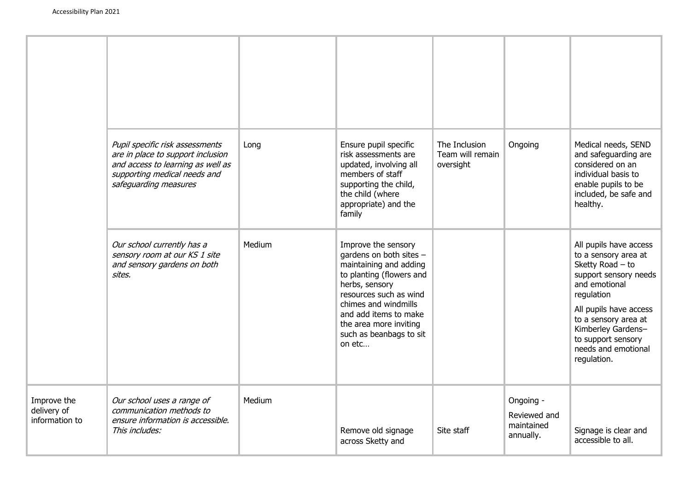|                                              | Pupil specific risk assessments<br>are in place to support inclusion<br>and access to learning as well as<br>supporting medical needs and<br>safeguarding measures | Long   | Ensure pupil specific<br>risk assessments are<br>updated, involving all<br>members of staff<br>supporting the child,<br>the child (where<br>appropriate) and the<br>family                                                                                       | The Inclusion<br>Team will remain<br>oversight | Ongoing                                              | Medical needs, SEND<br>and safeguarding are<br>considered on an<br>individual basis to<br>enable pupils to be<br>included, be safe and<br>healthy.                                                                                                               |
|----------------------------------------------|--------------------------------------------------------------------------------------------------------------------------------------------------------------------|--------|------------------------------------------------------------------------------------------------------------------------------------------------------------------------------------------------------------------------------------------------------------------|------------------------------------------------|------------------------------------------------------|------------------------------------------------------------------------------------------------------------------------------------------------------------------------------------------------------------------------------------------------------------------|
|                                              | Our school currently has a<br>sensory room at our KS 1 site<br>and sensory gardens on both<br>sites.                                                               | Medium | Improve the sensory<br>gardens on both sites -<br>maintaining and adding<br>to planting (flowers and<br>herbs, sensory<br>resources such as wind<br>chimes and windmills<br>and add items to make<br>the area more inviting<br>such as beanbags to sit<br>on etc |                                                |                                                      | All pupils have access<br>to a sensory area at<br>Sketty Road $-$ to<br>support sensory needs<br>and emotional<br>regulation<br>All pupils have access<br>to a sensory area at<br>Kimberley Gardens-<br>to support sensory<br>needs and emotional<br>regulation. |
| Improve the<br>delivery of<br>information to | Our school uses a range of<br>communication methods to<br>ensure information is accessible.<br>This includes:                                                      | Medium | Remove old signage<br>across Sketty and                                                                                                                                                                                                                          | Site staff                                     | Ongoing -<br>Reviewed and<br>maintained<br>annually. | Signage is clear and<br>accessible to all.                                                                                                                                                                                                                       |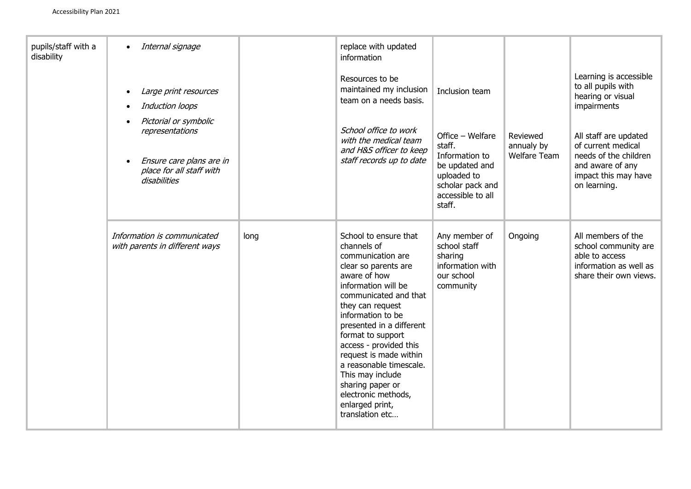| pupils/staff with a<br>disability | Internal signage<br>Large print resources<br>Induction loops<br>Pictorial or symbolic<br>representations<br>Ensure care plans are in<br>place for all staff with<br>disabilities |      | replace with updated<br>information<br>Resources to be<br>maintained my inclusion<br>team on a needs basis.<br>School office to work<br>with the medical team<br>and H&S officer to keep<br>staff records up to date                                                                                                                                                                                                            | Inclusion team<br>Office - Welfare<br>staff.<br>Information to<br>be updated and<br>uploaded to<br>scholar pack and<br>accessible to all<br>staff. | Reviewed<br>annualy by<br>Welfare Team | Learning is accessible<br>to all pupils with<br>hearing or visual<br>impairments<br>All staff are updated<br>of current medical<br>needs of the children<br>and aware of any<br>impact this may have<br>on learning. |
|-----------------------------------|----------------------------------------------------------------------------------------------------------------------------------------------------------------------------------|------|---------------------------------------------------------------------------------------------------------------------------------------------------------------------------------------------------------------------------------------------------------------------------------------------------------------------------------------------------------------------------------------------------------------------------------|----------------------------------------------------------------------------------------------------------------------------------------------------|----------------------------------------|----------------------------------------------------------------------------------------------------------------------------------------------------------------------------------------------------------------------|
|                                   | Information is communicated<br>with parents in different ways                                                                                                                    | long | School to ensure that<br>channels of<br>communication are<br>clear so parents are<br>aware of how<br>information will be<br>communicated and that<br>they can request<br>information to be<br>presented in a different<br>format to support<br>access - provided this<br>request is made within<br>a reasonable timescale.<br>This may include<br>sharing paper or<br>electronic methods,<br>enlarged print,<br>translation etc | Any member of<br>school staff<br>sharing<br>information with<br>our school<br>community                                                            | Ongoing                                | All members of the<br>school community are<br>able to access<br>information as well as<br>share their own views.                                                                                                     |